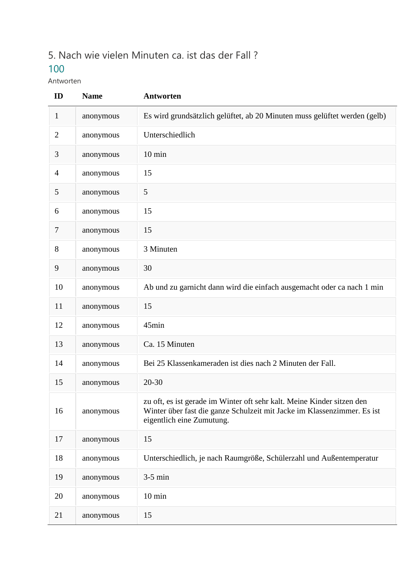## 5. Nach wie vielen Minuten ca. ist das der Fall ?

## 

Antworten

| ID             | <b>Name</b> | <b>Antworten</b>                                                                                                                                                               |
|----------------|-------------|--------------------------------------------------------------------------------------------------------------------------------------------------------------------------------|
| $\mathbf{1}$   | anonymous   | Es wird grundsätzlich gelüftet, ab 20 Minuten muss gelüftet werden (gelb)                                                                                                      |
| $\overline{2}$ | anonymous   | Unterschiedlich                                                                                                                                                                |
| 3              | anonymous   | $10 \text{ min}$                                                                                                                                                               |
| $\overline{4}$ | anonymous   | 15                                                                                                                                                                             |
| 5              | anonymous   | 5                                                                                                                                                                              |
| 6              | anonymous   | 15                                                                                                                                                                             |
| $\overline{7}$ | anonymous   | 15                                                                                                                                                                             |
| 8              | anonymous   | 3 Minuten                                                                                                                                                                      |
| 9              | anonymous   | 30                                                                                                                                                                             |
| 10             | anonymous   | Ab und zu garnicht dann wird die einfach ausgemacht oder ca nach 1 min                                                                                                         |
| 11             | anonymous   | 15                                                                                                                                                                             |
| 12             | anonymous   | 45min                                                                                                                                                                          |
| 13             | anonymous   | Ca. 15 Minuten                                                                                                                                                                 |
| 14             | anonymous   | Bei 25 Klassenkameraden ist dies nach 2 Minuten der Fall.                                                                                                                      |
| 15             | anonymous   | $20 - 30$                                                                                                                                                                      |
| 16             | anonymous   | zu oft, es ist gerade im Winter oft sehr kalt. Meine Kinder sitzen den<br>Winter über fast die ganze Schulzeit mit Jacke im Klassenzimmer. Es ist<br>eigentlich eine Zumutung. |
| 17             | anonymous   | 15                                                                                                                                                                             |
| 18             | anonymous   | Unterschiedlich, je nach Raumgröße, Schülerzahl und Außentemperatur                                                                                                            |
| 19             | anonymous   | $3-5$ min                                                                                                                                                                      |
| 20             | anonymous   | $10 \text{ min}$                                                                                                                                                               |
| 21             | anonymous   | 15                                                                                                                                                                             |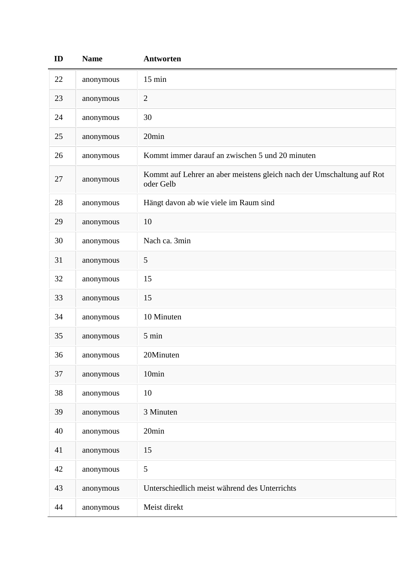| ID | <b>Name</b> | <b>Antworten</b>                                                                   |
|----|-------------|------------------------------------------------------------------------------------|
| 22 | anonymous   | $15 \text{ min}$                                                                   |
| 23 | anonymous   | $\sqrt{2}$                                                                         |
| 24 | anonymous   | 30                                                                                 |
| 25 | anonymous   | 20min                                                                              |
| 26 | anonymous   | Kommt immer darauf an zwischen 5 und 20 minuten                                    |
| 27 | anonymous   | Kommt auf Lehrer an aber meistens gleich nach der Umschaltung auf Rot<br>oder Gelb |
| 28 | anonymous   | Hängt davon ab wie viele im Raum sind                                              |
| 29 | anonymous   | 10                                                                                 |
| 30 | anonymous   | Nach ca. 3min                                                                      |
| 31 | anonymous   | $\mathfrak{S}$                                                                     |
| 32 | anonymous   | 15                                                                                 |
| 33 | anonymous   | 15                                                                                 |
| 34 | anonymous   | 10 Minuten                                                                         |
| 35 | anonymous   | 5 min                                                                              |
| 36 | anonymous   | 20Minuten                                                                          |
| 37 | anonymous   | 10min                                                                              |
| 38 | anonymous   | 10                                                                                 |
| 39 | anonymous   | 3 Minuten                                                                          |
| 40 | anonymous   | 20min                                                                              |
| 41 | anonymous   | 15                                                                                 |
| 42 | anonymous   | $\mathfrak{S}$                                                                     |
| 43 | anonymous   | Unterschiedlich meist während des Unterrichts                                      |
| 44 | anonymous   | Meist direkt                                                                       |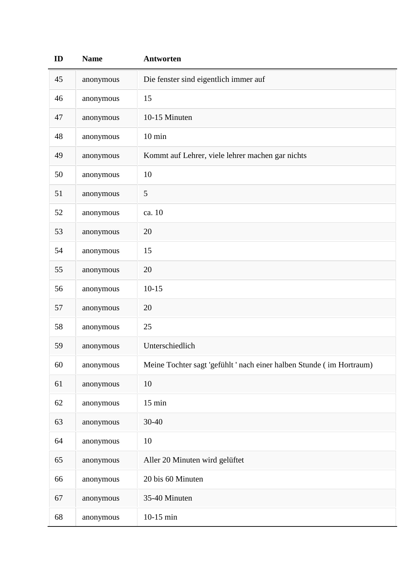| ID | <b>Name</b> | <b>Antworten</b>                                                     |
|----|-------------|----------------------------------------------------------------------|
| 45 | anonymous   | Die fenster sind eigentlich immer auf                                |
| 46 | anonymous   | 15                                                                   |
| 47 | anonymous   | 10-15 Minuten                                                        |
| 48 | anonymous   | $10 \text{ min}$                                                     |
| 49 | anonymous   | Kommt auf Lehrer, viele lehrer machen gar nichts                     |
| 50 | anonymous   | 10                                                                   |
| 51 | anonymous   | 5                                                                    |
| 52 | anonymous   | ca. 10                                                               |
| 53 | anonymous   | 20                                                                   |
| 54 | anonymous   | 15                                                                   |
| 55 | anonymous   | 20                                                                   |
| 56 | anonymous   | $10 - 15$                                                            |
| 57 | anonymous   | 20                                                                   |
| 58 | anonymous   | 25                                                                   |
| 59 | anonymous   | Unterschiedlich                                                      |
| 60 | anonymous   | Meine Tochter sagt 'gefühlt ' nach einer halben Stunde (im Hortraum) |
| 61 | anonymous   | 10                                                                   |
| 62 | anonymous   | $15 \text{ min}$                                                     |
| 63 | anonymous   | 30-40                                                                |
| 64 | anonymous   | 10                                                                   |
| 65 | anonymous   | Aller 20 Minuten wird gelüftet                                       |
| 66 | anonymous   | 20 bis 60 Minuten                                                    |
| 67 | anonymous   | 35-40 Minuten                                                        |
| 68 | anonymous   | 10-15 min                                                            |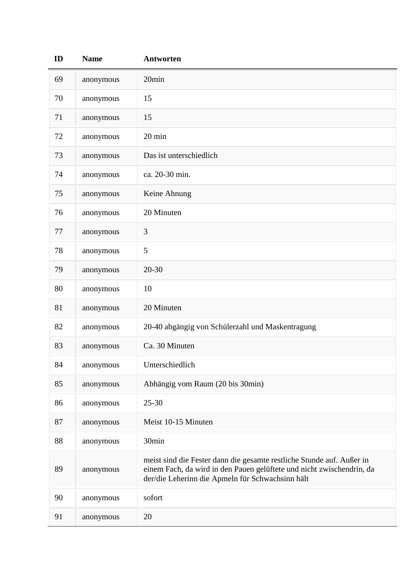| ID | <b>Name</b> | <b>Antworten</b>                                                                                                                                                                                   |
|----|-------------|----------------------------------------------------------------------------------------------------------------------------------------------------------------------------------------------------|
| 69 | anonymous   | 20min                                                                                                                                                                                              |
| 70 | anonymous   | 15                                                                                                                                                                                                 |
| 71 | anonymous   | 15                                                                                                                                                                                                 |
| 72 | anonymous   | 20 min                                                                                                                                                                                             |
| 73 | anonymous   | Das ist unterschiedlich                                                                                                                                                                            |
| 74 | anonymous   | ca. 20-30 min.                                                                                                                                                                                     |
| 75 | anonymous   | Keine Ahnung                                                                                                                                                                                       |
| 76 | anonymous   | 20 Minuten                                                                                                                                                                                         |
| 77 | anonymous   | 3                                                                                                                                                                                                  |
| 78 | anonymous   | 5                                                                                                                                                                                                  |
| 79 | anonymous   | $20 - 30$                                                                                                                                                                                          |
| 80 | anonymous   | 10                                                                                                                                                                                                 |
| 81 | anonymous   | 20 Minuten                                                                                                                                                                                         |
| 82 | anonymous   | 20-40 abgängig von Schülerzahl und Maskentragung                                                                                                                                                   |
| 83 | anonymous   | Ca. 30 Minuten                                                                                                                                                                                     |
| 84 | anonymous   | Unterschiedlich                                                                                                                                                                                    |
| 85 | anonymous   | Abhängig vom Raum (20 bis 30min)                                                                                                                                                                   |
| 86 | anonymous   | $25 - 30$                                                                                                                                                                                          |
| 87 | anonymous   | Meist 10-15 Minuten                                                                                                                                                                                |
| 88 | anonymous   | 30min                                                                                                                                                                                              |
| 89 | anonymous   | meist sind die Fester dann die gesamte restliche Stunde auf. Außer in<br>einem Fach, da wird in den Pauen gelüftete und nicht zwischendrin, da<br>der/die Leherinn die Apmeln für Schwachsinn hält |
| 90 | anonymous   | sofort                                                                                                                                                                                             |
| 91 | anonymous   | 20                                                                                                                                                                                                 |